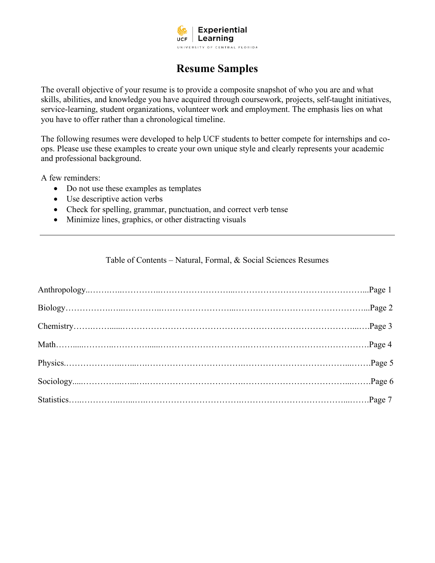

# **Resume Samples**

The overall objective of your resume is to provide a composite snapshot of who you are and what skills, abilities, and knowledge you have acquired through coursework, projects, self-taught initiatives, service-learning, student organizations, volunteer work and employment. The emphasis lies on what you have to offer rather than a chronological timeline.

The following resumes were developed to help UCF students to better compete for internships and coops. Please use these examples to create your own unique style and clearly represents your academic and professional background.

A few reminders:

- Do not use these examples as templates
- Use descriptive action verbs
- Check for spelling, grammar, punctuation, and correct verb tense
- Minimize lines, graphics, or other distracting visuals

Table of Contents – Natural, Formal, & Social Sciences Resumes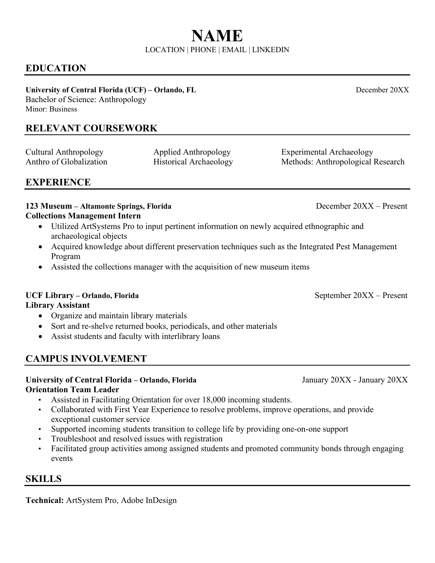# **EDUCATION**

**University of Central Florida (UCF) – Orlando, FL** December 20XX Bachelor of Science: Anthropology

Minor: Business

# **RELEVANT COURSEWORK**

Cultural Anthropology Applied Anthropology Experimental Archaeology Anthro of Globalization Historical Archaeology Methods: Anthropological Research

**EXPERIENCE**

### **123 Museum – Altamonte Springs, Florida** December 20XX – Present **Collections Management Intern**

- Utilized ArtSystems Pro to input pertinent information on newly acquired ethnographic and archaeological objects
- Acquired knowledge about different preservation techniques such as the Integrated Pest Management Program
- Assisted the collections manager with the acquisition of new museum items

# UCF Library – Orlando, Florida **by Contact 2008** September 20XX – Present

# **Library Assistant**

- Organize and maintain library materials
- Sort and re-shelve returned books, periodicals, and other materials
- Assist students and faculty with interlibrary loans

# **CAMPUS INVOLVEMENT**

# **University of Central Florida – Orlando, Florida** January 20XX - January 20XX **Orientation Team Leader**

- Assisted in Facilitating Orientation for over 18,000 incoming students.
- Collaborated with First Year Experience to resolve problems, improve operations, and provide exceptional customer service
- Supported incoming students transition to college life by providing one-on-one support
- Troubleshoot and resolved issues with registration
- Facilitated group activities among assigned students and promoted community bonds through engaging events

# **SKILLS**

**Technical:** ArtSystem Pro, Adobe InDesign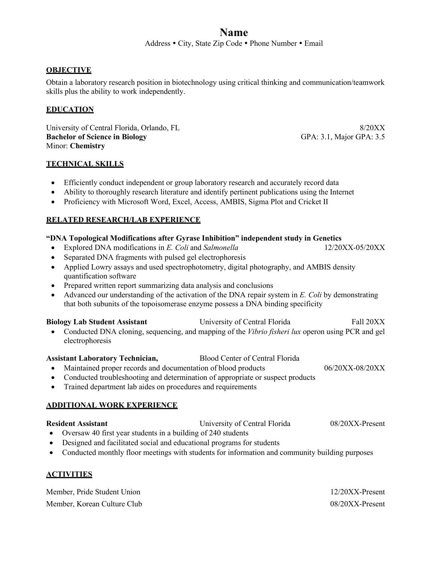Address • City, State Zip Code • Phone Number • Email

#### **OBJECTIVE**

Obtain a laboratory research position in biotechnology using critical thinking and communication/teamwork skills plus the ability to work independently.

#### **EDUCATION**

University of Central Florida, Orlando, FL 8/20XX **Bachelor of Science in Biology** GPA: 3.1, Major GPA: 3.5 Minor: **Chemistry** 

#### **TECHNICAL SKILLS**

- Efficiently conduct independent or group laboratory research and accurately record data
- Ability to thoroughly research literature and identify pertinent publications using the Internet
- Proficiency with Microsoft Word, Excel, Access, AMBIS, Sigma Plot and Cricket II

#### **RELATED RESEARCH/LAB EXPERIENCE**

#### **"DNA Topological Modifications after Gyrase Inhibition" independent study in Genetics**

- Explored DNA modifications in *E. Coli* and *Salmonella* 12/20XX-05/20XX
- Separated DNA fragments with pulsed gel electrophoresis
- Applied Lowry assays and used spectrophotometry, digital photography, and AMBIS density quantification software
- Prepared written report summarizing data analysis and conclusions
- Advanced our understanding of the activation of the DNA repair system in *E. Coli* by demonstrating that both subunits of the topoisomerase enzyme possess a DNA binding specificity

| <b>Biology Lab Student Assistant</b> | University of Central Florida                                                                       | Fall 20XX |
|--------------------------------------|-----------------------------------------------------------------------------------------------------|-----------|
|                                      | • Conducted DNA cloning, sequencing, and mapping of the Vibrio fisheri lux operon using PCR and gel |           |

electrophoresis

#### **Assistant Laboratory Technician,** Blood Center of Central Florida

- Maintained proper records and documentation of blood products 06/20XX-08/20XX
- Conducted troubleshooting and determination of appropriate or suspect products
- Trained department lab aides on procedures and requirements

#### **ADDITIONAL WORK EXPERIENCE**

#### **Resident Assistant** University of Central Florida 08/20XX-Present

- Oversaw 40 first year students in a building of 240 students
- Designed and facilitated social and educational programs for students
- Conducted monthly floor meetings with students for information and community building purposes

#### **ACTIVITIES**

| Member, Pride Student Union | $12/20XX$ -Present |
|-----------------------------|--------------------|
| Member, Korean Culture Club | $08/20XX$ -Present |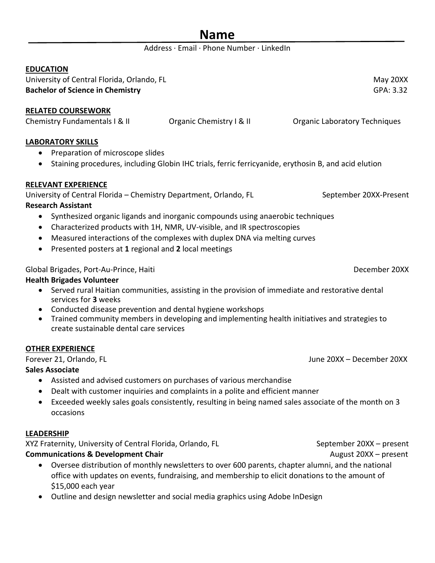### Address · Email · Phone Number · LinkedIn

#### **EDUCATION**

University of Central Florida, Orlando, FL May 20XX Channel May 20XX Channel May 20XX **Bachelor of Science in Chemistry GPA: 3.32** 

### **RELATED COURSEWORK**

Chemistry Fundamentals I & II Crganic Chemistry I & II Crganic Laboratory Techniques

### **LABORATORY SKILLS**

- Preparation of microscope slides
- Staining procedures, including Globin IHC trials, ferric ferricyanide, erythosin B, and acid elution

### **RELEVANT EXPERIENCE**

University of Central Florida – Chemistry Department, Orlando, FL September 20XX-Present **Research Assistant**

- Synthesized organic ligands and inorganic compounds using anaerobic techniques
- Characterized products with 1H, NMR, UV-visible, and IR spectroscopies
- Measured interactions of the complexes with duplex DNA via melting curves
- Presented posters at **1** regional and **2** local meetings

Global Brigades, Port-Au-Prince, Haiti December 20XX

### **Health Brigades Volunteer**

- Served rural Haitian communities, assisting in the provision of immediate and restorative dental services for **3** weeks
- Conducted disease prevention and dental hygiene workshops
- Trained community members in developing and implementing health initiatives and strategies to create sustainable dental care services

### **OTHER EXPERIENCE**

Forever 21, Orlando, FL June 20XX – December 20XX

### **Sales Associate**

- Assisted and advised customers on purchases of various merchandise
- Dealt with customer inquiries and complaints in a polite and efficient manner
- Exceeded weekly sales goals consistently, resulting in being named sales associate of the month on 3 occasions

### **LEADERSHIP**

XYZ Fraternity, University of Central Florida, Orlando, FL September 20XX – present

# **Communications & Development Chair** August 20XX – present

- Oversee distribution of monthly newsletters to over 600 parents, chapter alumni, and the national office with updates on events, fundraising, and membership to elicit donations to the amount of \$15,000 each year
- Outline and design newsletter and social media graphics using Adobe InDesign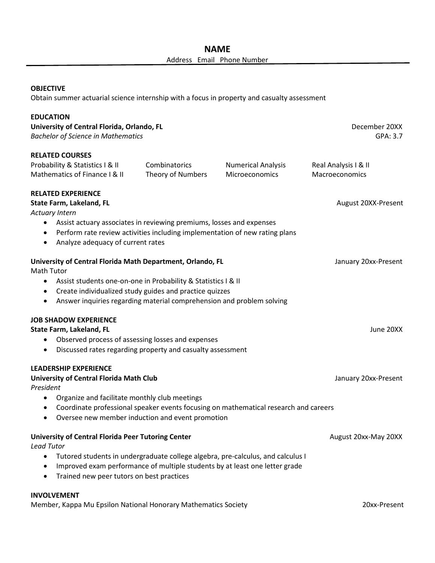#### **OBJECTIVE**

Obtain summer actuarial science internship with a focus in property and casualty assessment

| <b>EDUCATION</b><br>University of Central Florida, Orlando, FL<br><b>Bachelor of Science in Mathematics</b>                                                                                                                                                                                                                                         |                                    |                                             | December 20XX<br>GPA: 3.7              |  |  |
|-----------------------------------------------------------------------------------------------------------------------------------------------------------------------------------------------------------------------------------------------------------------------------------------------------------------------------------------------------|------------------------------------|---------------------------------------------|----------------------------------------|--|--|
| <b>RELATED COURSES</b><br>Probability & Statistics I & II<br>Mathematics of Finance I & II                                                                                                                                                                                                                                                          | Combinatorics<br>Theory of Numbers | <b>Numerical Analysis</b><br>Microeconomics | Real Analysis I & II<br>Macroeconomics |  |  |
| <b>RELATED EXPERIENCE</b><br>State Farm, Lakeland, FL<br><b>Actuary Intern</b>                                                                                                                                                                                                                                                                      |                                    |                                             | August 20XX-Present                    |  |  |
| Assist actuary associates in reviewing premiums, losses and expenses<br>٠<br>Perform rate review activities including implementation of new rating plans<br>$\bullet$<br>Analyze adequacy of current rates<br>$\bullet$                                                                                                                             |                                    |                                             |                                        |  |  |
| University of Central Florida Math Department, Orlando, FL<br>January 20xx-Present<br><b>Math Tutor</b><br>Assist students one-on-one in Probability & Statistics I & II<br>$\bullet$<br>Create individualized study guides and practice quizzes<br>$\bullet$<br>Answer inquiries regarding material comprehension and problem solving<br>$\bullet$ |                                    |                                             |                                        |  |  |
| <b>JOB SHADOW EXPERIENCE</b><br>State Farm, Lakeland, FL<br>Observed process of assessing losses and expenses<br>٠<br>Discussed rates regarding property and casualty assessment<br>$\bullet$                                                                                                                                                       |                                    |                                             | June 20XX                              |  |  |
| <b>LEADERSHIP EXPERIENCE</b><br><b>University of Central Florida Math Club</b><br>President                                                                                                                                                                                                                                                         |                                    |                                             | January 20xx-Present                   |  |  |
| Organize and facilitate monthly club meetings<br>$\bullet$<br>Coordinate professional speaker events focusing on mathematical research and careers<br>$\bullet$<br>Oversee new member induction and event promotion                                                                                                                                 |                                    |                                             |                                        |  |  |
| <b>University of Central Florida Peer Tutoring Center</b><br><b>Lead Tutor</b><br>Tutored students in undergraduate college algebra, pre-calculus, and calculus I<br>$\bullet$<br>Improved exam performance of multiple students by at least one letter grade<br>Trained new peer tutors on best practices<br>$\bullet$                             |                                    |                                             | August 20xx-May 20XX                   |  |  |
| <b>INVOLVEMENT</b>                                                                                                                                                                                                                                                                                                                                  |                                    |                                             |                                        |  |  |

Member, Kappa Mu Epsilon National Honorary Mathematics Society **20xx-Present**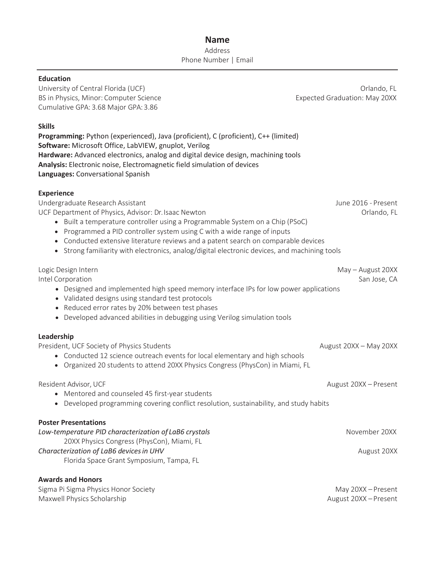### **Name** Address Phone Number | Email

#### **Education**

University of Central Florida (UCF) and the contract of Central Florida (UCF) or a set of the contract of Central Florida (UCF) BS in Physics, Minor: Computer Science **Expected Graduation: May 20XX** Cumulative GPA: 3.68 Major GPA: 3.86

#### **Skills**

**Programming:** Python (experienced), Java (proficient), C (proficient), C++ (limited) **Software:** Microsoft Office, LabVIEW, gnuplot, Verilog **Hardware:** Advanced electronics, analog and digital device design, machining tools **Analysis:** Electronic noise, Electromagnetic field simulation of devices **Languages:** Conversational Spanish

#### **Experience**

Undergraduate Research Assistant June 2016 - Present UCF Department of Physics, Advisor: Dr.Isaac Newton **Canadian Critics** Contained Dream Orlando, FL • Built a temperature controller using a Programmable System on a Chip (PSoC) • Programmed a PID controller system using C with a wide range of inputs • Conducted extensive literature reviews and a patent search on comparable devices

• Strong familiarity with electronics, analog/digital electronic devices, and machining tools

#### Logic Design Intern May – August 20XX

Intel Corporation San Jose, CA

- Designed and implemented high speed memory interface IPs for low power applications
- Validated designs using standard test protocols
- Reduced error rates by 20% between test phases
- Developed advanced abilities in debugging using Verilog simulation tools

#### **Leadership**

President, UCF Society of Physics Students August 20XX – May 20XX – May 20XX • Conducted 12 science outreach events for local elementary and high schools • Organized 20 students to attend 20XX Physics Congress (PhysCon) in Miami, FL Resident Advisor, UCF August 20XX – Present • Mentored and counseled 45 first-year students • Developed programming covering conflict resolution, sustainability, and study habits **Poster Presentations**

| Low-temperature PID characterization of LaB6 crystals | November 20XX |
|-------------------------------------------------------|---------------|
| 20XX Physics Congress (PhysCon), Miami, FL            |               |
| Characterization of LaB6 devices in UHV               | August 20XX   |
| Florida Space Grant Symposium, Tampa, FL              |               |
|                                                       |               |
| <b>Awards and Honors</b>                              |               |

Sigma Pi Sigma Physics Honor Society May 20XX – Present Maxwell Physics Scholarship **August 20XX** – Present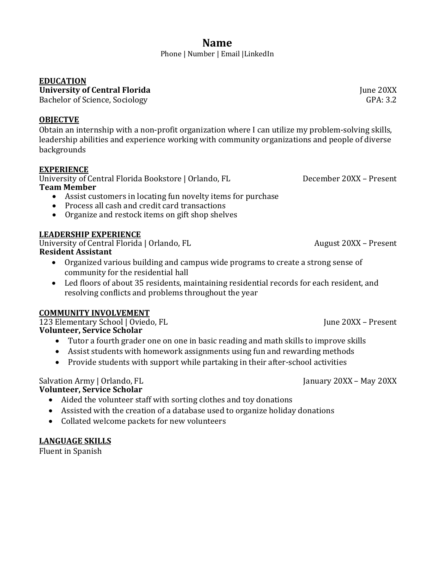Phone | Number | Email |LinkedIn

# **EDUCATION**

**University of Central Florida** June 20XX<br>Bachelor of Science, Sociology (Senational Science of Science of Science of Science of Science of Science of Science of Science of Science of Science of Science of Science of Scien

Bachelor of Science, Sociology

# **OBJECTVE**

Obtain an internship with a non-profit organization where I can utilize my problem-solving skills, leadership abilities and experience working with community organizations and people of diverse backgrounds

# **EXPERIENCE**

University of Central Florida Bookstore | Orlando, FL December 2008 – Present **Team Member**

- Assist customers in locating fun novelty items for purchase
- Process all cash and credit card transactions
- Organize and restock items on gift shop shelves

# **LEADERSHIP EXPERIENCE**

University of Central Florida | Orlando, FL  $\overline{a}$  August 20XX – Present **Resident Assistant**

- Organized various building and campus wide programs to create a strong sense of community for the residential hall
- Led floors of about 35 residents, maintaining residential records for each resident, and resolving conflicts and problems throughout the year

# **COMMUNITY INVOLVEMENT**

123 Elementary School | Oviedo, FL June 20XX – Present **Volunteer, Service Scholar**

- Tutor a fourth grader one on one in basic reading and math skills to improve skills
- Assist students with homework assignments using fun and rewarding methods
- Provide students with support while partaking in their after-school activities

# Salvation Army | Orlando, FL January 2008 – January 2008 – May 2008 – January 2008 – May 2008 – May 2008 – May

- **Volunteer, Service Scholar**
	- Aided the volunteer staff with sorting clothes and toy donations
	- Assisted with the creation of a database used to organize holiday donations
	- Collated welcome packets for new volunteers

# **LANGUAGE SKILLS**

Fluent in Spanish